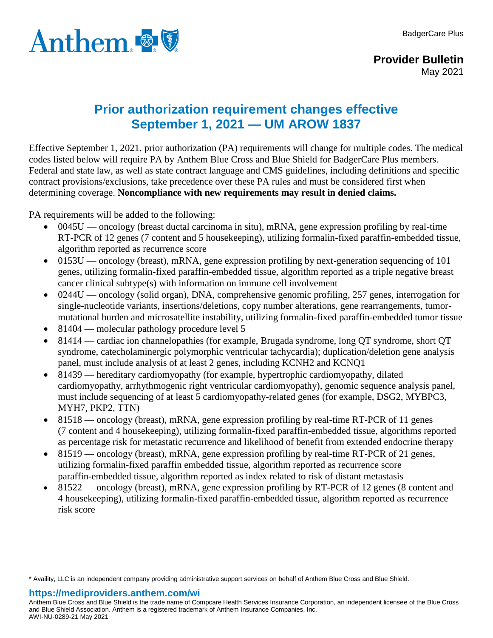

## **Prior authorization requirement changes effective September 1, 2021 — UM AROW 1837**

Effective September 1, 2021, prior authorization (PA) requirements will change for multiple codes. The medical codes listed below will require PA by Anthem Blue Cross and Blue Shield for BadgerCare Plus members. Federal and state law, as well as state contract language and CMS guidelines, including definitions and specific contract provisions/exclusions, take precedence over these PA rules and must be considered first when determining coverage. **Noncompliance with new requirements may result in denied claims.**

PA requirements will be added to the following:

- $\bullet$  0045U oncology (breast ductal carcinoma in situ), mRNA, gene expression profiling by real-time RT-PCR of 12 genes (7 content and 5 housekeeping), utilizing formalin-fixed paraffin-embedded tissue, algorithm reported as recurrence score
- 0153U oncology (breast), mRNA, gene expression profiling by next-generation sequencing of 101 genes, utilizing formalin-fixed paraffin-embedded tissue, algorithm reported as a triple negative breast cancer clinical subtype(s) with information on immune cell involvement
- 0244U oncology (solid organ), DNA, comprehensive genomic profiling, 257 genes, interrogation for single-nucleotide variants, insertions/deletions, copy number alterations, gene rearrangements, tumormutational burden and microsatellite instability, utilizing formalin-fixed paraffin-embedded tumor tissue
- 81404 molecular pathology procedure level 5
- 81414 cardiac ion channelopathies (for example, Brugada syndrome, long QT syndrome, short QT syndrome, catecholaminergic polymorphic ventricular tachycardia); duplication/deletion gene analysis panel, must include analysis of at least 2 genes, including KCNH2 and KCNQ1
- 81439 hereditary cardiomyopathy (for example, hypertrophic cardiomyopathy, dilated cardiomyopathy, arrhythmogenic right ventricular cardiomyopathy), genomic sequence analysis panel, must include sequencing of at least 5 cardiomyopathy-related genes (for example, DSG2, MYBPC3, MYH7, PKP2, TTN)
- 81518 oncology (breast), mRNA, gene expression profiling by real-time RT-PCR of 11 genes (7 content and 4 housekeeping), utilizing formalin-fixed paraffin-embedded tissue, algorithms reported as percentage risk for metastatic recurrence and likelihood of benefit from extended endocrine therapy
- 81519 oncology (breast), mRNA, gene expression profiling by real-time RT-PCR of 21 genes, utilizing formalin-fixed paraffin embedded tissue, algorithm reported as recurrence score paraffin-embedded tissue, algorithm reported as index related to risk of distant metastasis
- 81522 oncology (breast), mRNA, gene expression profiling by RT-PCR of 12 genes (8 content and 4 housekeeping), utilizing formalin-fixed paraffin-embedded tissue, algorithm reported as recurrence risk score

\* Availity, LLC is an independent company providing administrative support services on behalf of Anthem Blue Cross and Blue Shield.

## **https://mediproviders.anthem.com/wi**

Anthem Blue Cross and Blue Shield is the trade name of Compcare Health Services Insurance Corporation, an independent licensee of the Blue Cross and Blue Shield Association. Anthem is a registered trademark of Anthem Insurance Companies, Inc. AWI-NU-0289-21 May 2021